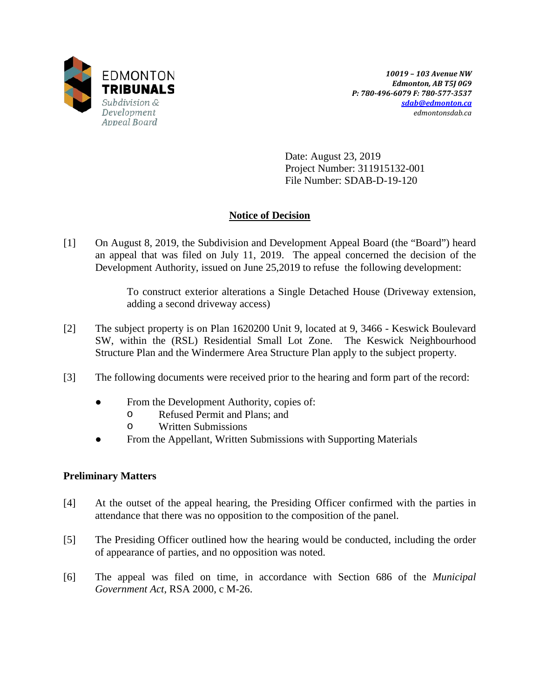

Date: August 23, 2019 Project Number: 311915132-001 File Number: SDAB-D-19-120

# **Notice of Decision**

[1] On August 8, 2019, the Subdivision and Development Appeal Board (the "Board") heard an appeal that was filed on July 11, 2019. The appeal concerned the decision of the Development Authority, issued on June 25,2019 to refuse the following development:

> To construct exterior alterations a Single Detached House (Driveway extension, adding a second driveway access)

- [2] The subject property is on Plan 1620200 Unit 9, located at 9, 3466 Keswick Boulevard SW, within the (RSL) Residential Small Lot Zone. The Keswick Neighbourhood Structure Plan and the Windermere Area Structure Plan apply to the subject property.
- [3] The following documents were received prior to the hearing and form part of the record:
	- From the Development Authority, copies of:
		- o Refused Permit and Plans; and
		- o Written Submissions
	- From the Appellant, Written Submissions with Supporting Materials

# **Preliminary Matters**

- [4] At the outset of the appeal hearing, the Presiding Officer confirmed with the parties in attendance that there was no opposition to the composition of the panel.
- [5] The Presiding Officer outlined how the hearing would be conducted, including the order of appearance of parties, and no opposition was noted.
- [6] The appeal was filed on time, in accordance with Section 686 of the *Municipal Government Act*, RSA 2000, c M-26.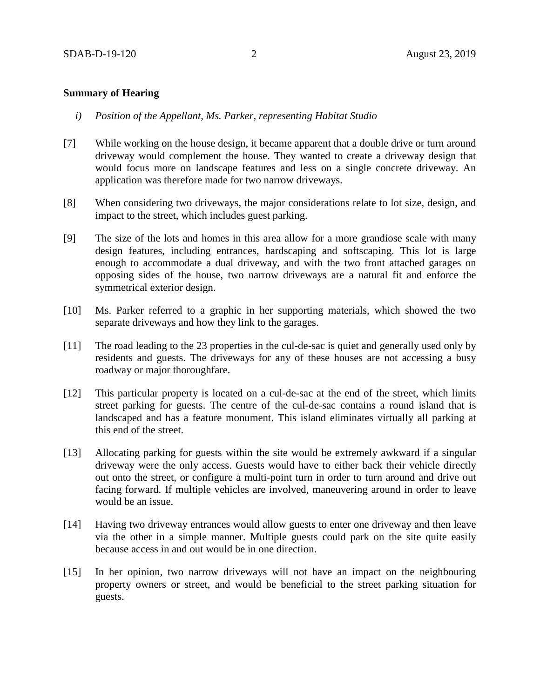## **Summary of Hearing**

- *i) Position of the Appellant, Ms. Parker, representing Habitat Studio*
- [7] While working on the house design, it became apparent that a double drive or turn around driveway would complement the house. They wanted to create a driveway design that would focus more on landscape features and less on a single concrete driveway. An application was therefore made for two narrow driveways.
- [8] When considering two driveways, the major considerations relate to lot size, design, and impact to the street, which includes guest parking.
- [9] The size of the lots and homes in this area allow for a more grandiose scale with many design features, including entrances, hardscaping and softscaping. This lot is large enough to accommodate a dual driveway, and with the two front attached garages on opposing sides of the house, two narrow driveways are a natural fit and enforce the symmetrical exterior design.
- [10] Ms. Parker referred to a graphic in her supporting materials, which showed the two separate driveways and how they link to the garages.
- [11] The road leading to the 23 properties in the cul-de-sac is quiet and generally used only by residents and guests. The driveways for any of these houses are not accessing a busy roadway or major thoroughfare.
- [12] This particular property is located on a cul-de-sac at the end of the street, which limits street parking for guests. The centre of the cul-de-sac contains a round island that is landscaped and has a feature monument. This island eliminates virtually all parking at this end of the street.
- [13] Allocating parking for guests within the site would be extremely awkward if a singular driveway were the only access. Guests would have to either back their vehicle directly out onto the street, or configure a multi-point turn in order to turn around and drive out facing forward. If multiple vehicles are involved, maneuvering around in order to leave would be an issue.
- [14] Having two driveway entrances would allow guests to enter one driveway and then leave via the other in a simple manner. Multiple guests could park on the site quite easily because access in and out would be in one direction.
- [15] In her opinion, two narrow driveways will not have an impact on the neighbouring property owners or street, and would be beneficial to the street parking situation for guests.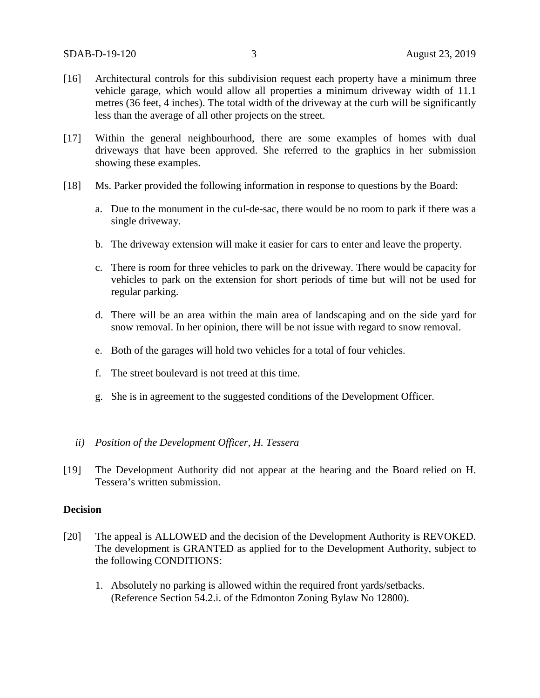- [16] Architectural controls for this subdivision request each property have a minimum three vehicle garage, which would allow all properties a minimum driveway width of 11.1 metres (36 feet, 4 inches). The total width of the driveway at the curb will be significantly less than the average of all other projects on the street.
- [17] Within the general neighbourhood, there are some examples of homes with dual driveways that have been approved. She referred to the graphics in her submission showing these examples.
- [18] Ms. Parker provided the following information in response to questions by the Board:
	- a. Due to the monument in the cul-de-sac, there would be no room to park if there was a single driveway.
	- b. The driveway extension will make it easier for cars to enter and leave the property.
	- c. There is room for three vehicles to park on the driveway. There would be capacity for vehicles to park on the extension for short periods of time but will not be used for regular parking.
	- d. There will be an area within the main area of landscaping and on the side yard for snow removal. In her opinion, there will be not issue with regard to snow removal.
	- e. Both of the garages will hold two vehicles for a total of four vehicles.
	- f. The street boulevard is not treed at this time.
	- g. She is in agreement to the suggested conditions of the Development Officer.

#### *ii) Position of the Development Officer, H. Tessera*

[19] The Development Authority did not appear at the hearing and the Board relied on H. Tessera's written submission.

#### **Decision**

- [20] The appeal is ALLOWED and the decision of the Development Authority is REVOKED. The development is GRANTED as applied for to the Development Authority, subject to the following CONDITIONS:
	- 1. Absolutely no parking is allowed within the required front yards/setbacks. (Reference Section 54.2.i. of the Edmonton Zoning Bylaw No 12800).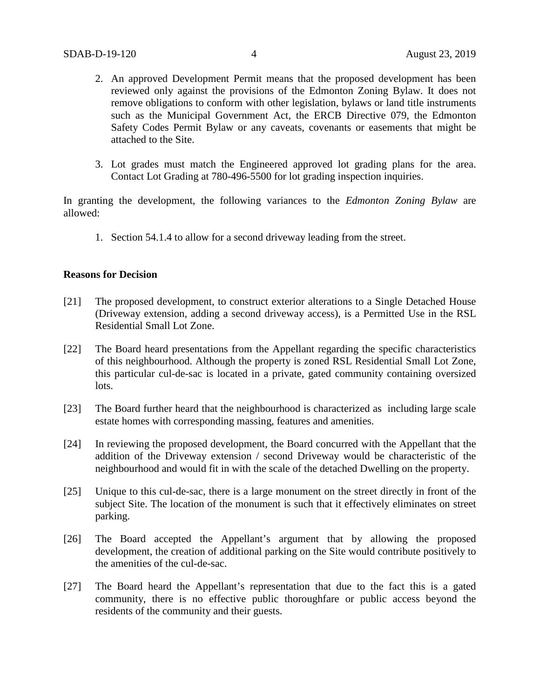- 2. An approved Development Permit means that the proposed development has been reviewed only against the provisions of the Edmonton Zoning Bylaw. It does not remove obligations to conform with other legislation, bylaws or land title instruments such as the Municipal Government Act, the ERCB Directive 079, the Edmonton Safety Codes Permit Bylaw or any caveats, covenants or easements that might be attached to the Site.
- 3. Lot grades must match the Engineered approved lot grading plans for the area. Contact Lot Grading at 780-496-5500 for lot grading inspection inquiries.

In granting the development, the following variances to the *Edmonton Zoning Bylaw* are allowed:

1. Section 54.1.4 to allow for a second driveway leading from the street.

## **Reasons for Decision**

- [21] The proposed development, to construct exterior alterations to a Single Detached House (Driveway extension, adding a second driveway access), is a Permitted Use in the RSL Residential Small Lot Zone.
- [22] The Board heard presentations from the Appellant regarding the specific characteristics of this neighbourhood. Although the property is zoned RSL Residential Small Lot Zone, this particular cul-de-sac is located in a private, gated community containing oversized lots.
- [23] The Board further heard that the neighbourhood is characterized as including large scale estate homes with corresponding massing, features and amenities.
- [24] In reviewing the proposed development, the Board concurred with the Appellant that the addition of the Driveway extension / second Driveway would be characteristic of the neighbourhood and would fit in with the scale of the detached Dwelling on the property.
- [25] Unique to this cul-de-sac, there is a large monument on the street directly in front of the subject Site. The location of the monument is such that it effectively eliminates on street parking.
- [26] The Board accepted the Appellant's argument that by allowing the proposed development, the creation of additional parking on the Site would contribute positively to the amenities of the cul-de-sac.
- [27] The Board heard the Appellant's representation that due to the fact this is a gated community, there is no effective public thoroughfare or public access beyond the residents of the community and their guests.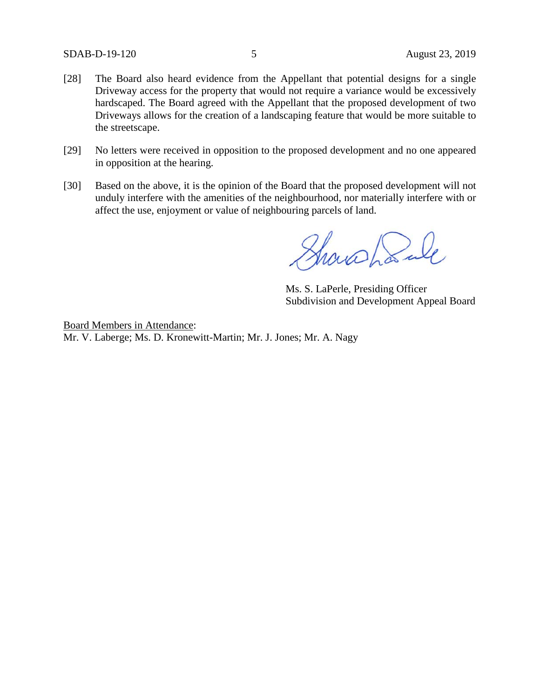- [28] The Board also heard evidence from the Appellant that potential designs for a single Driveway access for the property that would not require a variance would be excessively hardscaped. The Board agreed with the Appellant that the proposed development of two Driveways allows for the creation of a landscaping feature that would be more suitable to the streetscape.
- [29] No letters were received in opposition to the proposed development and no one appeared in opposition at the hearing.
- [30] Based on the above, it is the opinion of the Board that the proposed development will not unduly interfere with the amenities of the neighbourhood, nor materially interfere with or affect the use, enjoyment or value of neighbouring parcels of land.

Showshank

Ms. S. LaPerle, Presiding Officer Subdivision and Development Appeal Board

Board Members in Attendance: Mr. V. Laberge; Ms. D. Kronewitt-Martin; Mr. J. Jones; Mr. A. Nagy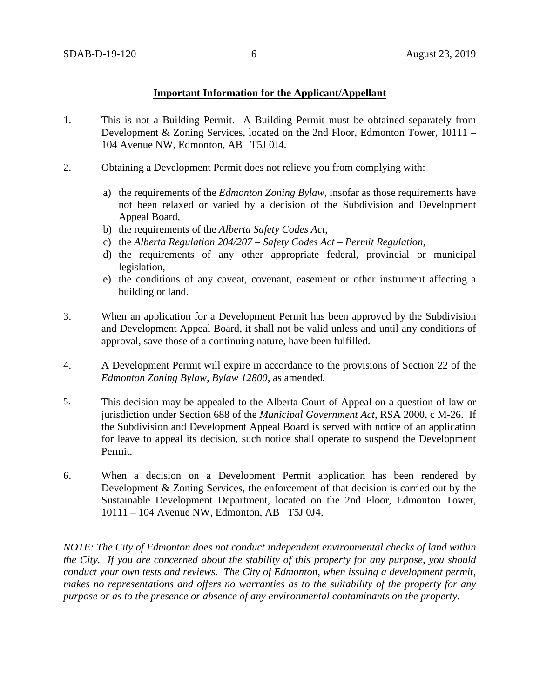## **Important Information for the Applicant/Appellant**

- 1. This is not a Building Permit. A Building Permit must be obtained separately from Development & Zoning Services, located on the 2nd Floor, Edmonton Tower, 10111 – 104 Avenue NW, Edmonton, AB T5J 0J4.
- 2. Obtaining a Development Permit does not relieve you from complying with:
	- a) the requirements of the *Edmonton Zoning Bylaw*, insofar as those requirements have not been relaxed or varied by a decision of the Subdivision and Development Appeal Board,
	- b) the requirements of the *Alberta Safety Codes Act*,
	- c) the *Alberta Regulation 204/207 – Safety Codes Act – Permit Regulation*,
	- d) the requirements of any other appropriate federal, provincial or municipal legislation,
	- e) the conditions of any caveat, covenant, easement or other instrument affecting a building or land.
- 3. When an application for a Development Permit has been approved by the Subdivision and Development Appeal Board, it shall not be valid unless and until any conditions of approval, save those of a continuing nature, have been fulfilled.
- 4. A Development Permit will expire in accordance to the provisions of Section 22 of the *Edmonton Zoning Bylaw, Bylaw 12800*, as amended.
- 5. This decision may be appealed to the Alberta Court of Appeal on a question of law or jurisdiction under Section 688 of the *Municipal Government Act*, RSA 2000, c M-26. If the Subdivision and Development Appeal Board is served with notice of an application for leave to appeal its decision, such notice shall operate to suspend the Development Permit.
- 6. When a decision on a Development Permit application has been rendered by Development & Zoning Services, the enforcement of that decision is carried out by the Sustainable Development Department, located on the 2nd Floor, Edmonton Tower, 10111 – 104 Avenue NW, Edmonton, AB T5J 0J4.

*NOTE: The City of Edmonton does not conduct independent environmental checks of land within the City. If you are concerned about the stability of this property for any purpose, you should conduct your own tests and reviews. The City of Edmonton, when issuing a development permit, makes no representations and offers no warranties as to the suitability of the property for any purpose or as to the presence or absence of any environmental contaminants on the property.*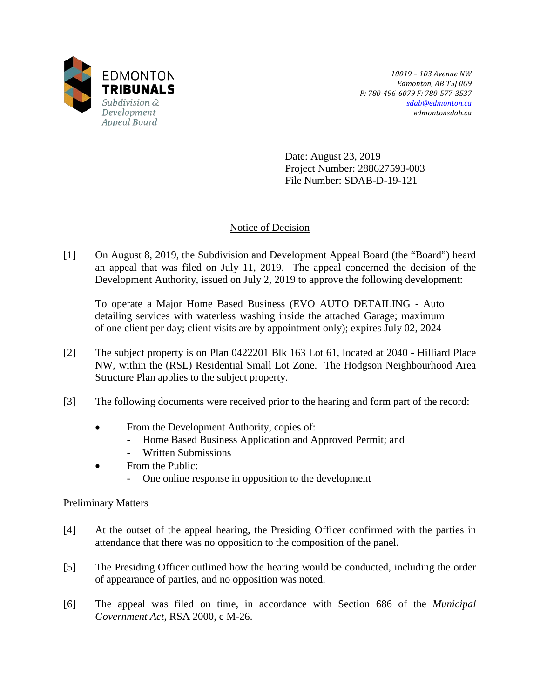

*10019 – 103 Avenue NW Edmonton, AB T5J 0G9 P: 780-496-6079 F: 780-577-3537 [sdab@edmonton.ca](mailto:sdab@edmonton.ca) edmontonsdab.ca*

Date: August 23, 2019 Project Number: 288627593-003 File Number: SDAB-D-19-121

# Notice of Decision

[1] On August 8, 2019, the Subdivision and Development Appeal Board (the "Board") heard an appeal that was filed on July 11, 2019. The appeal concerned the decision of the Development Authority, issued on July 2, 2019 to approve the following development:

To operate a Major Home Based Business (EVO AUTO DETAILING - Auto detailing services with waterless washing inside the attached Garage; maximum of one client per day; client visits are by appointment only); expires July 02, 2024

- [2] The subject property is on Plan 0422201 Blk 163 Lot 61, located at 2040 Hilliard Place NW, within the (RSL) Residential Small Lot Zone. The Hodgson Neighbourhood Area Structure Plan applies to the subject property.
- [3] The following documents were received prior to the hearing and form part of the record:
	- From the Development Authority, copies of:
		- Home Based Business Application and Approved Permit; and
		- Written Submissions
	- From the Public:
		- One online response in opposition to the development

# Preliminary Matters

- [4] At the outset of the appeal hearing, the Presiding Officer confirmed with the parties in attendance that there was no opposition to the composition of the panel.
- [5] The Presiding Officer outlined how the hearing would be conducted, including the order of appearance of parties, and no opposition was noted.
- [6] The appeal was filed on time, in accordance with Section 686 of the *Municipal Government Act*, RSA 2000, c M-26.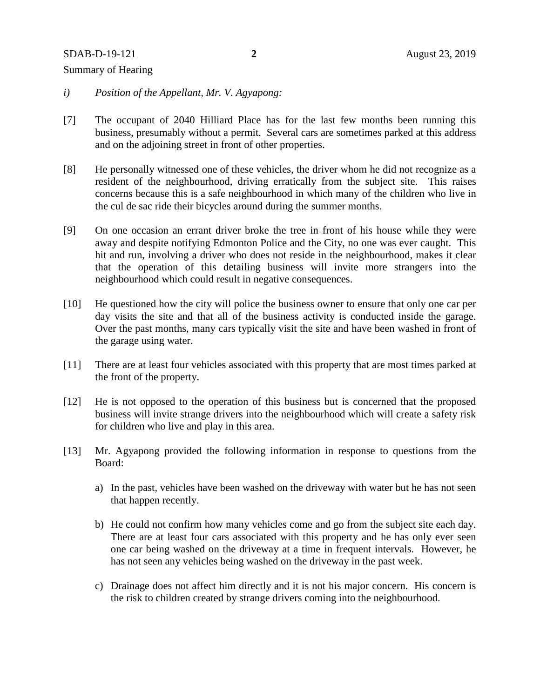#### SDAB-D-19-121 **2** August 23, 2019

# Summary of Hearing

- *i) Position of the Appellant, Mr. V. Agyapong:*
- [7] The occupant of 2040 Hilliard Place has for the last few months been running this business, presumably without a permit. Several cars are sometimes parked at this address and on the adjoining street in front of other properties.
- [8] He personally witnessed one of these vehicles, the driver whom he did not recognize as a resident of the neighbourhood, driving erratically from the subject site. This raises concerns because this is a safe neighbourhood in which many of the children who live in the cul de sac ride their bicycles around during the summer months.
- [9] On one occasion an errant driver broke the tree in front of his house while they were away and despite notifying Edmonton Police and the City, no one was ever caught. This hit and run, involving a driver who does not reside in the neighbourhood, makes it clear that the operation of this detailing business will invite more strangers into the neighbourhood which could result in negative consequences.
- [10] He questioned how the city will police the business owner to ensure that only one car per day visits the site and that all of the business activity is conducted inside the garage. Over the past months, many cars typically visit the site and have been washed in front of the garage using water.
- [11] There are at least four vehicles associated with this property that are most times parked at the front of the property.
- [12] He is not opposed to the operation of this business but is concerned that the proposed business will invite strange drivers into the neighbourhood which will create a safety risk for children who live and play in this area.
- [13] Mr. Agyapong provided the following information in response to questions from the Board:
	- a) In the past, vehicles have been washed on the driveway with water but he has not seen that happen recently.
	- b) He could not confirm how many vehicles come and go from the subject site each day. There are at least four cars associated with this property and he has only ever seen one car being washed on the driveway at a time in frequent intervals. However, he has not seen any vehicles being washed on the driveway in the past week.
	- c) Drainage does not affect him directly and it is not his major concern. His concern is the risk to children created by strange drivers coming into the neighbourhood.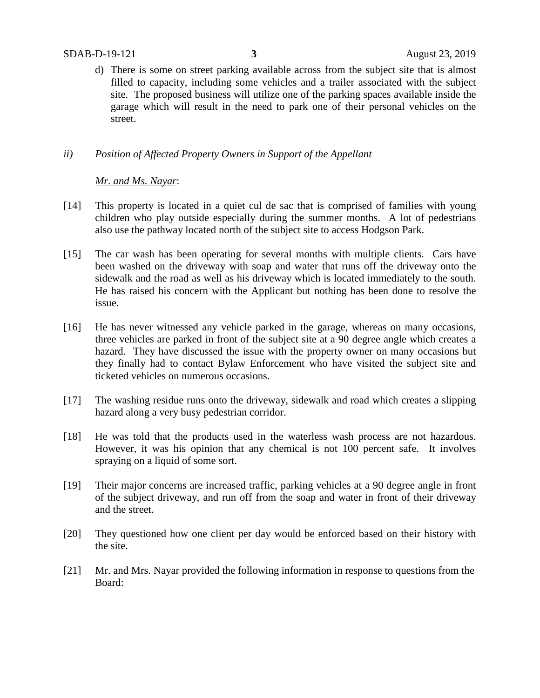d) There is some on street parking available across from the subject site that is almost filled to capacity, including some vehicles and a trailer associated with the subject site. The proposed business will utilize one of the parking spaces available inside the garage which will result in the need to park one of their personal vehicles on the street.

# *ii) Position of Affected Property Owners in Support of the Appellant*

# *Mr. and Ms. Nayar*:

- [14] This property is located in a quiet cul de sac that is comprised of families with young children who play outside especially during the summer months. A lot of pedestrians also use the pathway located north of the subject site to access Hodgson Park.
- [15] The car wash has been operating for several months with multiple clients. Cars have been washed on the driveway with soap and water that runs off the driveway onto the sidewalk and the road as well as his driveway which is located immediately to the south. He has raised his concern with the Applicant but nothing has been done to resolve the issue.
- [16] He has never witnessed any vehicle parked in the garage, whereas on many occasions, three vehicles are parked in front of the subject site at a 90 degree angle which creates a hazard. They have discussed the issue with the property owner on many occasions but they finally had to contact Bylaw Enforcement who have visited the subject site and ticketed vehicles on numerous occasions.
- [17] The washing residue runs onto the driveway, sidewalk and road which creates a slipping hazard along a very busy pedestrian corridor.
- [18] He was told that the products used in the waterless wash process are not hazardous. However, it was his opinion that any chemical is not 100 percent safe. It involves spraying on a liquid of some sort.
- [19] Their major concerns are increased traffic, parking vehicles at a 90 degree angle in front of the subject driveway, and run off from the soap and water in front of their driveway and the street.
- [20] They questioned how one client per day would be enforced based on their history with the site.
- [21] Mr. and Mrs. Nayar provided the following information in response to questions from the Board: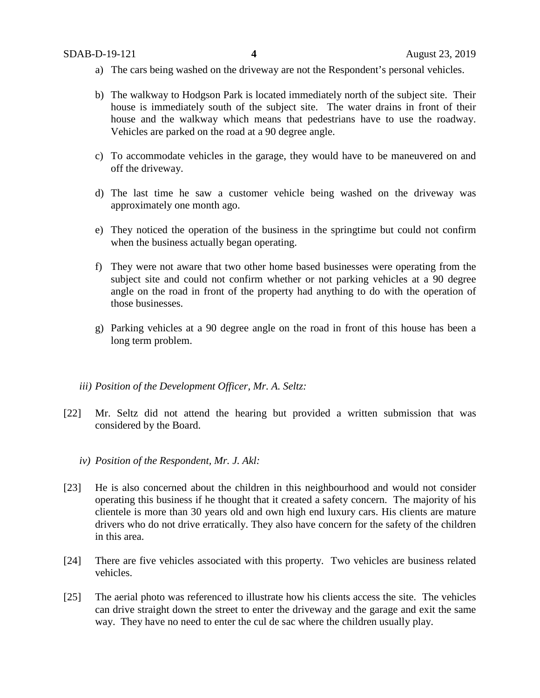- a) The cars being washed on the driveway are not the Respondent's personal vehicles.
- b) The walkway to Hodgson Park is located immediately north of the subject site. Their house is immediately south of the subject site. The water drains in front of their house and the walkway which means that pedestrians have to use the roadway. Vehicles are parked on the road at a 90 degree angle.
- c) To accommodate vehicles in the garage, they would have to be maneuvered on and off the driveway.
- d) The last time he saw a customer vehicle being washed on the driveway was approximately one month ago.
- e) They noticed the operation of the business in the springtime but could not confirm when the business actually began operating.
- f) They were not aware that two other home based businesses were operating from the subject site and could not confirm whether or not parking vehicles at a 90 degree angle on the road in front of the property had anything to do with the operation of those businesses.
- g) Parking vehicles at a 90 degree angle on the road in front of this house has been a long term problem.

## *iii) Position of the Development Officer, Mr. A. Seltz:*

- [22] Mr. Seltz did not attend the hearing but provided a written submission that was considered by the Board.
	- *iv) Position of the Respondent, Mr. J. Akl:*
- [23] He is also concerned about the children in this neighbourhood and would not consider operating this business if he thought that it created a safety concern. The majority of his clientele is more than 30 years old and own high end luxury cars. His clients are mature drivers who do not drive erratically. They also have concern for the safety of the children in this area.
- [24] There are five vehicles associated with this property. Two vehicles are business related vehicles.
- [25] The aerial photo was referenced to illustrate how his clients access the site. The vehicles can drive straight down the street to enter the driveway and the garage and exit the same way. They have no need to enter the cul de sac where the children usually play.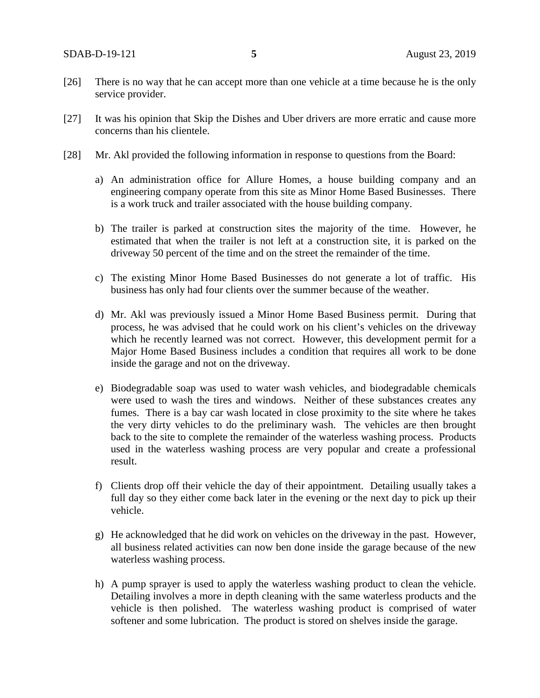- [26] There is no way that he can accept more than one vehicle at a time because he is the only service provider.
- [27] It was his opinion that Skip the Dishes and Uber drivers are more erratic and cause more concerns than his clientele.
- [28] Mr. Akl provided the following information in response to questions from the Board:
	- a) An administration office for Allure Homes, a house building company and an engineering company operate from this site as Minor Home Based Businesses. There is a work truck and trailer associated with the house building company.
	- b) The trailer is parked at construction sites the majority of the time. However, he estimated that when the trailer is not left at a construction site, it is parked on the driveway 50 percent of the time and on the street the remainder of the time.
	- c) The existing Minor Home Based Businesses do not generate a lot of traffic. His business has only had four clients over the summer because of the weather.
	- d) Mr. Akl was previously issued a Minor Home Based Business permit. During that process, he was advised that he could work on his client's vehicles on the driveway which he recently learned was not correct. However, this development permit for a Major Home Based Business includes a condition that requires all work to be done inside the garage and not on the driveway.
	- e) Biodegradable soap was used to water wash vehicles, and biodegradable chemicals were used to wash the tires and windows. Neither of these substances creates any fumes. There is a bay car wash located in close proximity to the site where he takes the very dirty vehicles to do the preliminary wash. The vehicles are then brought back to the site to complete the remainder of the waterless washing process. Products used in the waterless washing process are very popular and create a professional result.
	- f) Clients drop off their vehicle the day of their appointment. Detailing usually takes a full day so they either come back later in the evening or the next day to pick up their vehicle.
	- g) He acknowledged that he did work on vehicles on the driveway in the past. However, all business related activities can now ben done inside the garage because of the new waterless washing process.
	- h) A pump sprayer is used to apply the waterless washing product to clean the vehicle. Detailing involves a more in depth cleaning with the same waterless products and the vehicle is then polished. The waterless washing product is comprised of water softener and some lubrication. The product is stored on shelves inside the garage.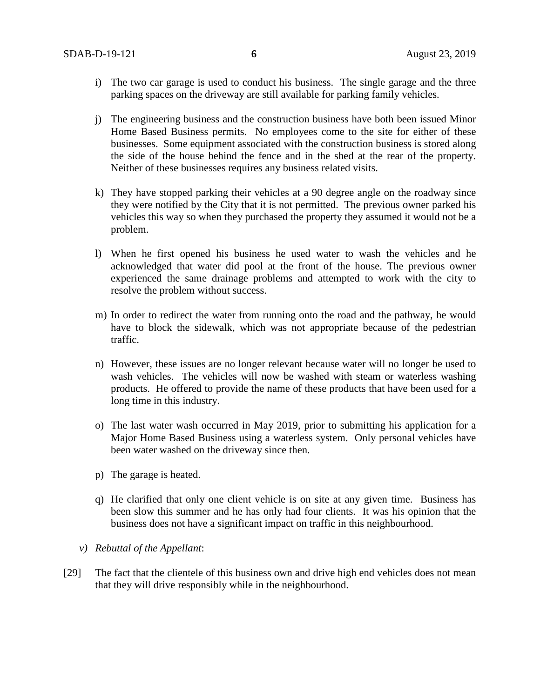- i) The two car garage is used to conduct his business. The single garage and the three parking spaces on the driveway are still available for parking family vehicles.
- j) The engineering business and the construction business have both been issued Minor Home Based Business permits. No employees come to the site for either of these businesses. Some equipment associated with the construction business is stored along the side of the house behind the fence and in the shed at the rear of the property. Neither of these businesses requires any business related visits.
- k) They have stopped parking their vehicles at a 90 degree angle on the roadway since they were notified by the City that it is not permitted. The previous owner parked his vehicles this way so when they purchased the property they assumed it would not be a problem.
- l) When he first opened his business he used water to wash the vehicles and he acknowledged that water did pool at the front of the house. The previous owner experienced the same drainage problems and attempted to work with the city to resolve the problem without success.
- m) In order to redirect the water from running onto the road and the pathway, he would have to block the sidewalk, which was not appropriate because of the pedestrian traffic.
- n) However, these issues are no longer relevant because water will no longer be used to wash vehicles. The vehicles will now be washed with steam or waterless washing products. He offered to provide the name of these products that have been used for a long time in this industry.
- o) The last water wash occurred in May 2019, prior to submitting his application for a Major Home Based Business using a waterless system. Only personal vehicles have been water washed on the driveway since then.
- p) The garage is heated.
- q) He clarified that only one client vehicle is on site at any given time. Business has been slow this summer and he has only had four clients. It was his opinion that the business does not have a significant impact on traffic in this neighbourhood.
- *v) Rebuttal of the Appellant*:
- [29] The fact that the clientele of this business own and drive high end vehicles does not mean that they will drive responsibly while in the neighbourhood.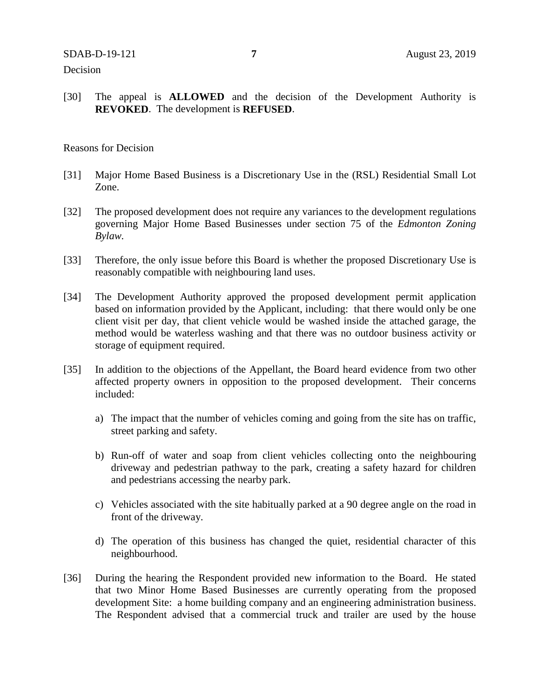## Decision

[30] The appeal is **ALLOWED** and the decision of the Development Authority is **REVOKED**. The development is **REFUSED**.

### Reasons for Decision

- [31] Major Home Based Business is a Discretionary Use in the (RSL) Residential Small Lot Zone.
- [32] The proposed development does not require any variances to the development regulations governing Major Home Based Businesses under section 75 of the *Edmonton Zoning Bylaw.*
- [33] Therefore, the only issue before this Board is whether the proposed Discretionary Use is reasonably compatible with neighbouring land uses.
- [34] The Development Authority approved the proposed development permit application based on information provided by the Applicant, including: that there would only be one client visit per day, that client vehicle would be washed inside the attached garage, the method would be waterless washing and that there was no outdoor business activity or storage of equipment required.
- [35] In addition to the objections of the Appellant, the Board heard evidence from two other affected property owners in opposition to the proposed development. Their concerns included:
	- a) The impact that the number of vehicles coming and going from the site has on traffic, street parking and safety.
	- b) Run-off of water and soap from client vehicles collecting onto the neighbouring driveway and pedestrian pathway to the park, creating a safety hazard for children and pedestrians accessing the nearby park.
	- c) Vehicles associated with the site habitually parked at a 90 degree angle on the road in front of the driveway.
	- d) The operation of this business has changed the quiet, residential character of this neighbourhood.
- [36] During the hearing the Respondent provided new information to the Board. He stated that two Minor Home Based Businesses are currently operating from the proposed development Site: a home building company and an engineering administration business. The Respondent advised that a commercial truck and trailer are used by the house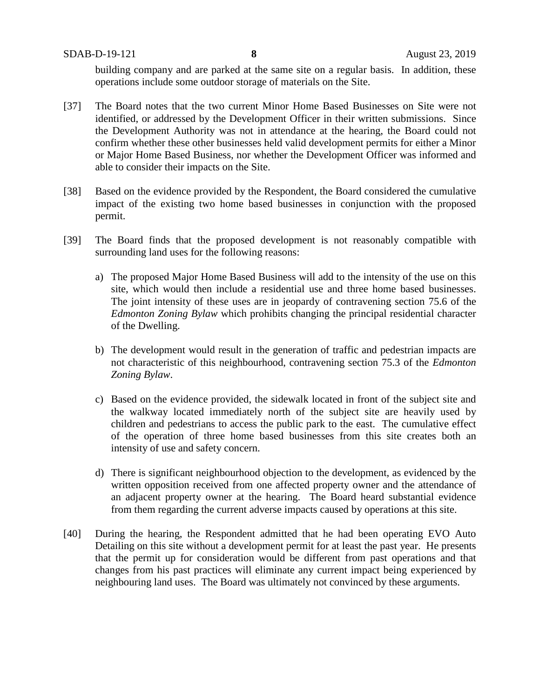building company and are parked at the same site on a regular basis. In addition, these operations include some outdoor storage of materials on the Site.

- [37] The Board notes that the two current Minor Home Based Businesses on Site were not identified, or addressed by the Development Officer in their written submissions. Since the Development Authority was not in attendance at the hearing, the Board could not confirm whether these other businesses held valid development permits for either a Minor or Major Home Based Business, nor whether the Development Officer was informed and able to consider their impacts on the Site.
- [38] Based on the evidence provided by the Respondent, the Board considered the cumulative impact of the existing two home based businesses in conjunction with the proposed permit.
- [39] The Board finds that the proposed development is not reasonably compatible with surrounding land uses for the following reasons:
	- a) The proposed Major Home Based Business will add to the intensity of the use on this site, which would then include a residential use and three home based businesses. The joint intensity of these uses are in jeopardy of contravening section 75.6 of the *Edmonton Zoning Bylaw* which prohibits changing the principal residential character of the Dwelling.
	- b) The development would result in the generation of traffic and pedestrian impacts are not characteristic of this neighbourhood, contravening section 75.3 of the *Edmonton Zoning Bylaw*.
	- c) Based on the evidence provided, the sidewalk located in front of the subject site and the walkway located immediately north of the subject site are heavily used by children and pedestrians to access the public park to the east. The cumulative effect of the operation of three home based businesses from this site creates both an intensity of use and safety concern.
	- d) There is significant neighbourhood objection to the development, as evidenced by the written opposition received from one affected property owner and the attendance of an adjacent property owner at the hearing. The Board heard substantial evidence from them regarding the current adverse impacts caused by operations at this site.
- [40] During the hearing, the Respondent admitted that he had been operating EVO Auto Detailing on this site without a development permit for at least the past year. He presents that the permit up for consideration would be different from past operations and that changes from his past practices will eliminate any current impact being experienced by neighbouring land uses. The Board was ultimately not convinced by these arguments.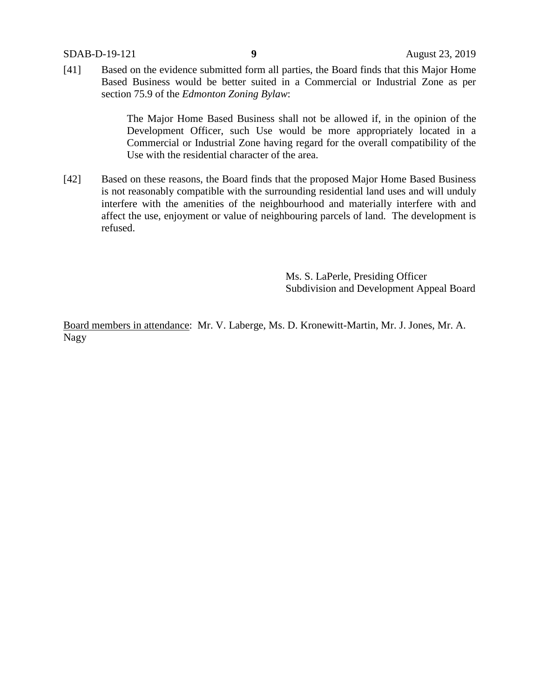[41] Based on the evidence submitted form all parties, the Board finds that this Major Home Based Business would be better suited in a Commercial or Industrial Zone as per section 75.9 of the *Edmonton Zoning Bylaw*:

> The Major Home Based Business shall not be allowed if, in the opinion of the Development Officer, such Use would be more appropriately located in a Commercial or Industrial Zone having regard for the overall compatibility of the Use with the residential character of the area.

[42] Based on these reasons, the Board finds that the proposed Major Home Based Business is not reasonably compatible with the surrounding residential land uses and will unduly interfere with the amenities of the neighbourhood and materially interfere with and affect the use, enjoyment or value of neighbouring parcels of land. The development is refused.

> Ms. S. LaPerle, Presiding Officer Subdivision and Development Appeal Board

Board members in attendance: Mr. V. Laberge, Ms. D. Kronewitt-Martin, Mr. J. Jones, Mr. A. Nagy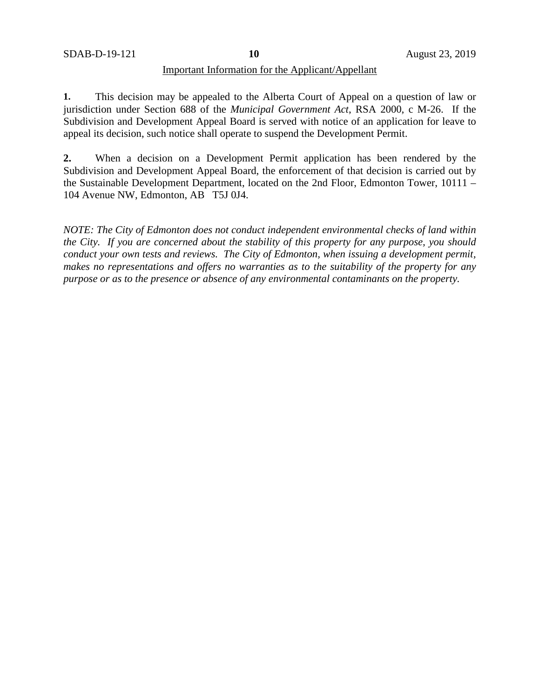## Important Information for the Applicant/Appellant

**1.** This decision may be appealed to the Alberta Court of Appeal on a question of law or jurisdiction under Section 688 of the *Municipal Government Act*, RSA 2000, c M-26. If the Subdivision and Development Appeal Board is served with notice of an application for leave to appeal its decision, such notice shall operate to suspend the Development Permit.

**2.** When a decision on a Development Permit application has been rendered by the Subdivision and Development Appeal Board, the enforcement of that decision is carried out by the Sustainable Development Department, located on the 2nd Floor, Edmonton Tower, 10111 – 104 Avenue NW, Edmonton, AB T5J 0J4.

*NOTE: The City of Edmonton does not conduct independent environmental checks of land within the City. If you are concerned about the stability of this property for any purpose, you should conduct your own tests and reviews. The City of Edmonton, when issuing a development permit, makes no representations and offers no warranties as to the suitability of the property for any purpose or as to the presence or absence of any environmental contaminants on the property.*